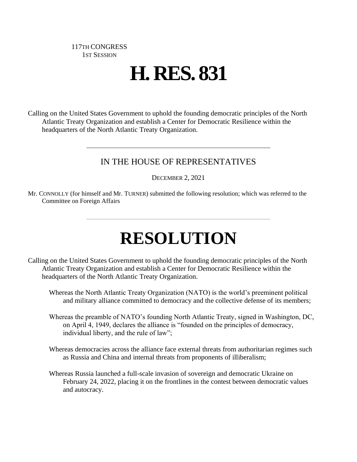## 117TH CONGRESS 1ST SESSION

## **H. RES. 831**

Calling on the United States Government to uphold the founding democratic principles of the North Atlantic Treaty Organization and establish a Center for Democratic Resilience within the headquarters of the North Atlantic Treaty Organization.

## IN THE HOUSE OF REPRESENTATIVES

DECEMBER 2, 2021

Mr. CONNOLLY (for himself and Mr. TURNER) submitted the following resolution; which was referred to the Committee on Foreign Affairs

## **RESOLUTION**

Calling on the United States Government to uphold the founding democratic principles of the North Atlantic Treaty Organization and establish a Center for Democratic Resilience within the headquarters of the North Atlantic Treaty Organization.

Whereas the North Atlantic Treaty Organization (NATO) is the world's preeminent political and military alliance committed to democracy and the collective defense of its members;

- Whereas the preamble of NATO's founding North Atlantic Treaty, signed in Washington, DC, on April 4, 1949, declares the alliance is "founded on the principles of democracy, individual liberty, and the rule of law";
- Whereas democracies across the alliance face external threats from authoritarian regimes such as Russia and China and internal threats from proponents of illiberalism;
- Whereas Russia launched a full-scale invasion of sovereign and democratic Ukraine on February 24, 2022, placing it on the frontlines in the contest between democratic values and autocracy.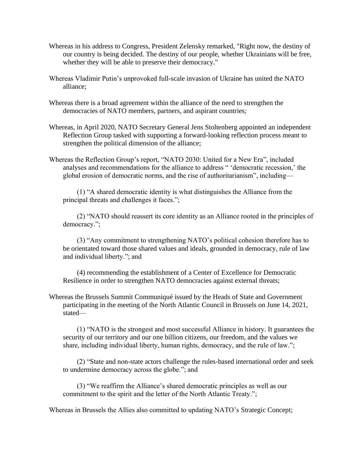- Whereas in his address to Congress, President Zelensky remarked, "Right now, the destiny of our country is being decided. The destiny of our people, whether Ukrainians will be free, whether they will be able to preserve their democracy."
- Whereas Vladimir Putin's unprovoked full-scale invasion of Ukraine has united the NATO alliance;
- Whereas there is a broad agreement within the alliance of the need to strengthen the democracies of NATO members, partners, and aspirant countries;
- Whereas, in April 2020, NATO Secretary General Jens Stoltenberg appointed an independent Reflection Group tasked with supporting a forward-looking reflection process meant to strengthen the political dimension of the alliance;
- Whereas the Reflection Group's report, "NATO 2030: United for a New Era", included analyses and recommendations for the alliance to address " 'democratic recession,' the global erosion of democratic norms, and the rise of authoritarianism", including—

(1) "A shared democratic identity is what distinguishes the Alliance from the principal threats and challenges it faces.";

(2) "NATO should reassert its core identity as an Alliance rooted in the principles of democracy.";

(3) "Any commitment to strengthening NATO's political cohesion therefore has to be orientated toward those shared values and ideals, grounded in democracy, rule of law and individual liberty."; and

(4) recommending the establishment of a Center of Excellence for Democratic Resilience in order to strengthen NATO democracies against external threats;

Whereas the Brussels Summit Communiqué issued by the Heads of State and Government participating in the meeting of the North Atlantic Council in Brussels on June 14, 2021, stated—

(1) "NATO is the strongest and most successful Alliance in history. It guarantees the security of our territory and our one billion citizens, our freedom, and the values we share, including individual liberty, human rights, democracy, and the rule of law.";

(2) "State and non-state actors challenge the rules-based international order and seek to undermine democracy across the globe."; and

(3) "We reaffirm the Alliance's shared democratic principles as well as our commitment to the spirit and the letter of the North Atlantic Treaty.";

Whereas in Brussels the Allies also committed to updating NATO's Strategic Concept;